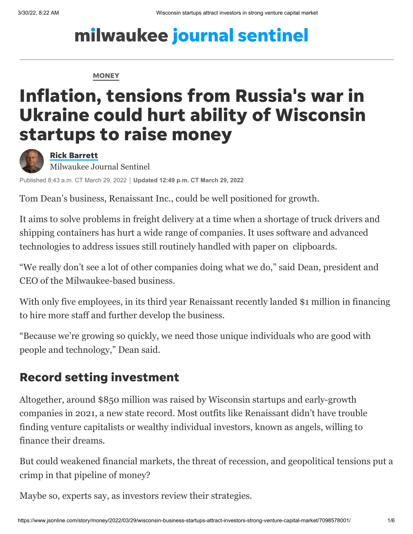# milwaukee journal sentinel

#### **[MONEY](https://www.jsonline.com/business/)**

# Inflation, tensions from Russia's war in Ukraine could hurt ability of Wisconsin startups to raise money



#### Rick [Barrett](https://www.jsonline.com/staff/2646590001/rick-barrett/)

Milwaukee Journal Sentinel

Published 8:43 a.m. CT March 29, 2022 **Updated 12:49 p.m. CT March 29, 2022**

Tom Dean's business, Renaissant Inc., could be well positioned for growth.

It aims to solve problems in freight delivery at a time when a shortage of truck drivers and shipping containers has hurt a wide range of companies. It uses software and advanced technologies to address issues still routinely handled with paper on clipboards.

"We really don't see a lot of other companies doing what we do," said Dean, president and CEO of the Milwaukee-based business.

With only five employees, in its third year Renaissant recently landed \$1 million in financing to hire more staff and further develop the business.

"Because we're growing so quickly, we need those unique individuals who are good with people and technology," Dean said.

### Record setting investment

Altogether, around \$850 million was raised by Wisconsin startups and early-growth companies in 2021, a new state record. Most outfits like [Renaissant](https://renaissant.com/) didn't have trouble finding venture capitalists or wealthy individual investors, known as angels, willing to finance their dreams.

But could weakened financial markets, the threat of recession, and geopolitical tensions put a crimp in that pipeline of money?

Maybe so, experts say, as investors review their strategies.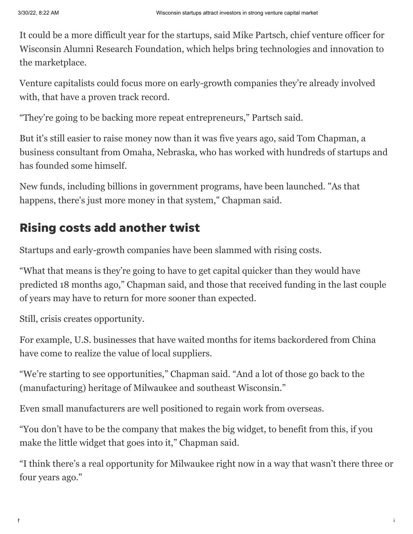It could be a more difficult year for the startups, said Mike Partsch, chief venture officer for Wisconsin Alumni Research Foundation, which helps bring technologies and innovation to the marketplace.

Venture capitalists could focus more on early-growth companies they're already involved with, that have a proven track record.

"They're going to be backing more repeat entrepreneurs," Partsch said.

But it's still easier to raise money now than it was five years ago, said Tom Chapman, a business consultant from Omaha, Nebraska, who has worked with hundreds of startups and has founded some himself.

New funds, including billions in government programs, have been launched. "As that happens, there's just more money in that system," Chapman said.

## Rising costs add another twist

Startups and early-growth companies have been slammed with rising costs.

"What that means is they're going to have to get capital quicker than they would have predicted 18 months ago," Chapman said, and those that received funding in the last couple of years may have to return for more sooner than expected.

Still, crisis creates opportunity.

For example, U.S. businesses that have waited months for items backordered from China have come to realize the value of local suppliers.

"We're starting to see opportunities," Chapman said. "And a lot of those go back to the (manufacturing) heritage of Milwaukee and southeast Wisconsin."

Even small manufacturers are well positioned to regain work from overseas.

"You don't have to be the company that makes the big widget, to benefit from this, if you make the little widget that goes into it," Chapman said.

"I think there's a real opportunity for Milwaukee right now in a way that wasn't there three or four years ago."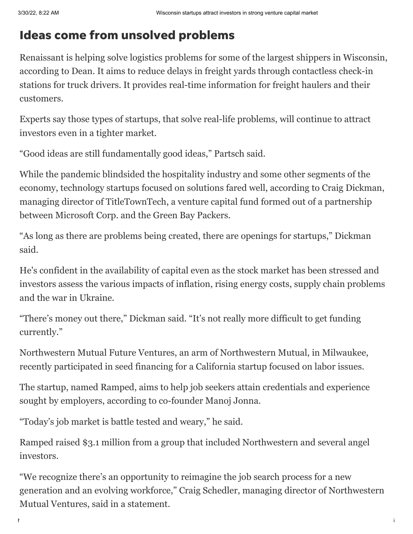# Ideas come from unsolved problems

Renaissant is helping solve logistics problems for some of the largest shippers in Wisconsin, according to Dean. It aims to reduce delays in freight yards through contactless check-in stations for truck drivers. It provides real-time information for freight haulers and their customers.

Experts say those types of startups, that solve real-life problems, will continue to attract investors even in a tighter market.

"Good ideas are still fundamentally good ideas," Partsch said.

While the pandemic blindsided the hospitality industry and some other segments of the economy, technology startups focused on solutions fared well, according to Craig Dickman, managing director of [TitleTownTech](https://www.titletowntech.com/), a venture capital fund formed out of a partnership between Microsoft Corp. and the Green Bay Packers.

"As long as there are problems being created, there are openings for startups," Dickman said.

He's confident in the availability of capital even as the stock market has been stressed and investors assess the various impacts of inflation, rising energy costs, [supply chain problems](https://www.jsonline.com/story/money/business/2022/03/16/ukraine-war-conflicts-and-supply-chains-upending-global-trade/9429686002/) and the [war in Ukraine](https://www.jsonline.com/story/money/2022/03/24/ukraine-war-raise-food-prices-hurt-farmers-exports-to-russia/7076022001/).

"There's money out there," Dickman said. "It's not really more difficult to get funding currently."

[Northwestern Mutual Future Ventures,](https://venture.northwesternmutual.com/) an arm of Northwestern Mutual, in Milwaukee, recently participated in seed financing for a California startup focused on labor issues.

The startup, named Ramped, aims to help job seekers attain credentials and experience sought by employers, according to co-founder Manoj Jonna.

"Today's job market is battle tested and weary," he said.

[Ramped](https://www.rampedcareers.com/) raised \$3.1 million from a group that included Northwestern and several angel investors.

"We recognize there's an opportunity to reimagine the job search process for a new generation and an evolving workforce," Craig Schedler, managing director of Northwestern Mutual Ventures, said in a statement.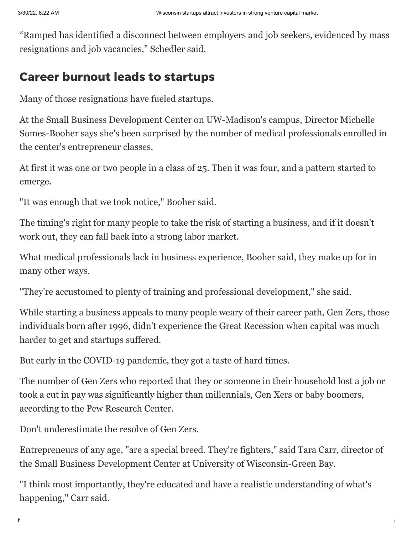"Ramped has identified a disconnect between employers and job seekers, evidenced by mass resignations and job vacancies," Schedler said.

### Career burnout leads to startups

Many of those resignations have fueled startups.

At the [Small Business Development Center](https://sbdc.wisc.edu/) on UW-Madison's campus, Director Michelle Somes-Booher says she's been surprised by the number of medical professionals enrolled in the center's entrepreneur classes.

At first it was one or two people in a class of 25. Then it was four, and a pattern started to emerge.

"It was enough that we took notice," Booher said.

The timing's right for many people to take the risk of starting a business, and if it doesn't work out, they can fall back into a strong labor market.

What medical professionals lack in business experience, Booher said, they make up for in many other ways.

"They're accustomed to plenty of training and professional development," she said.

While starting a business appeals to many people weary of their career path, Gen Zers, those individuals born after 1996, didn't experience the Great Recession when capital was much harder to get and startups suffered.

But early in the COVID-19 pandemic, they got a taste of hard times.

The number of Gen Zers who reported that they or someone in their household lost a job or took a cut in pay was significantly higher than millennials, Gen Xers or baby boomers, according to the Pew Research Center.

Don't underestimate the resolve of Gen Zers.

Entrepreneurs of any age, "are a special breed. They're fighters," said Tara Carr, director of the [Small Business Development Center](https://www.uwgb.edu/sbdc/) at University of Wisconsin-Green Bay.

"I think most importantly, they're educated and have a realistic understanding of what's happening," Carr said.

https://www.jsonline.com/story/money/2022/03/29/wisconsin-business-startups-attract-investors-strong-venture-capital-market/7098578001/ 4/6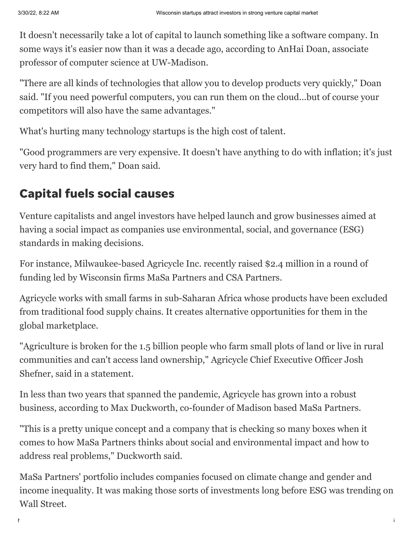It doesn't necessarily take a lot of capital to launch something like a software company. In some ways it's easier now than it was a decade ago, according to AnHai Doan, associate professor of computer science at UW-Madison.

"There are all kinds of technologies that allow you to develop products very quickly," Doan said. "If you need powerful computers, you can run them on the cloud...but of course your competitors will also have the same advantages."

What's hurting many technology startups is the high cost of talent.

"Good programmers are very expensive. It doesn't have anything to do with inflation; it's just very hard to find them," Doan said.

## Capital fuels social causes

Venture capitalists and angel investors have helped launch and grow businesses aimed at having a social impact as companies use environmental, social, and governance (ESG) standards in making decisions.

For instance, Milwaukee-based Agricycle Inc. recently raised \$2.4 million in a round of funding led by Wisconsin firms MaSa Partners and CSA Partners.

[Agricycle](https://agricycleglobal.com/) works with small farms in sub-Saharan Africa whose products have been excluded from traditional food supply chains. It creates alternative opportunities for them in the global marketplace.

"Agriculture is broken for the 1.5 billion people who farm small plots of land or live in rural communities and can't access land ownership," Agricycle Chief Executive Officer Josh Shefner, said in a statement.

In less than two years that spanned the pandemic, Agricycle has grown into a robust business, according to Max Duckworth, co-founder of Madison based [MaSa Partners.](https://masaimpact.com/)

"This is a pretty unique concept and a company that is checking so many boxes when it comes to how MaSa Partners thinks about social and environmental impact and how to address real problems," Duckworth said.

MaSa Partners' portfolio includes companies focused on climate change and gender and income inequality. It was making those sorts of investments long before ESG was trending on Wall Street.

https://www.jsonline.com/story/money/2022/03/29/wisconsin-business-startups-attract-investors-strong-venture-capital-market/7098578001/ 5/6